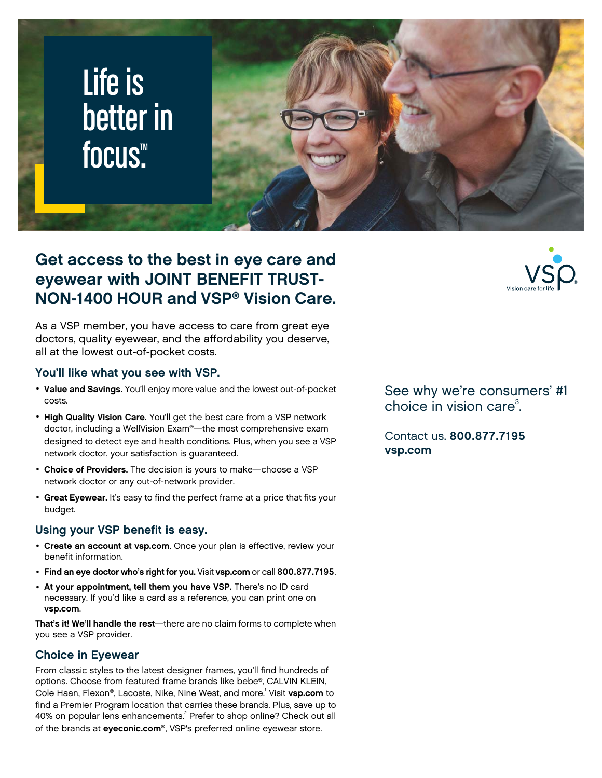

# **Get access to the best in eye care and eyewear with JOINT BENEFIT TRUST-NON-1400 HOUR and VSP® Vision Care.**

As a VSP member, you have access to care from great eye doctors, quality eyewear, and the affordability you deserve, all at the lowest out-of-pocket costs.

### **You'll like what you see with VSP.**

- **Value and Savings.** You'll enjoy more value and the lowest out-of-pocket costs.
- **High Quality Vision Care.** You'll get the best care from a VSP network doctor, including a WellVision Exam®—the most comprehensive exam designed to detect eye and health conditions. Plus, when you see a VSP network doctor, your satisfaction is guaranteed.
- **Choice of Providers.** The decision is yours to make—choose a VSP network doctor or any out-of-network provider.
- **Great Eyewear.** It's easy to find the perfect frame at a price that fits your budget.

### **Using your VSP benefit is easy.**

- **Create an account at [vsp.com](www.vsp.com)**. Once your plan is effective, review your benefit information.
- **Find an eye doctor who's right for you.** Visit **[vsp.com](www.vsp.com)** or call **800.877.7195**.
- **At your appointment, tell them you have VSP.** There's no ID card necessary. If you'd like a card as a reference, you can print one on **[vsp.com](www.vsp.com)**.

**That's it! We'll handle the rest**—there are no claim forms to complete when you see a VSP provider.

### **Choice in Eyewear**

From classic styles to the latest designer frames, you'll find hundreds of options. Choose from featured frame brands like bebe®, CALVIN KLEIN, Cole Haan, Flexon®, Lacoste, Nike, Nine West, and more.<sup>1</sup> Visit **[vsp.com](www.vsp.com)** to find a Premier Program location that carries these brands. Plus, save up to 40% on popular lens enhancements.<sup>2</sup> Prefer to shop online? Check out all of the brands at **[eyeconic.com](www.eyeconic.com)**®, VSP's preferred online eyewear store.

See why we're consumers' #1 choice in vision care $3$ . .

Contact us. **800.877.7195 [vsp.com](http://www.vsp.com)**